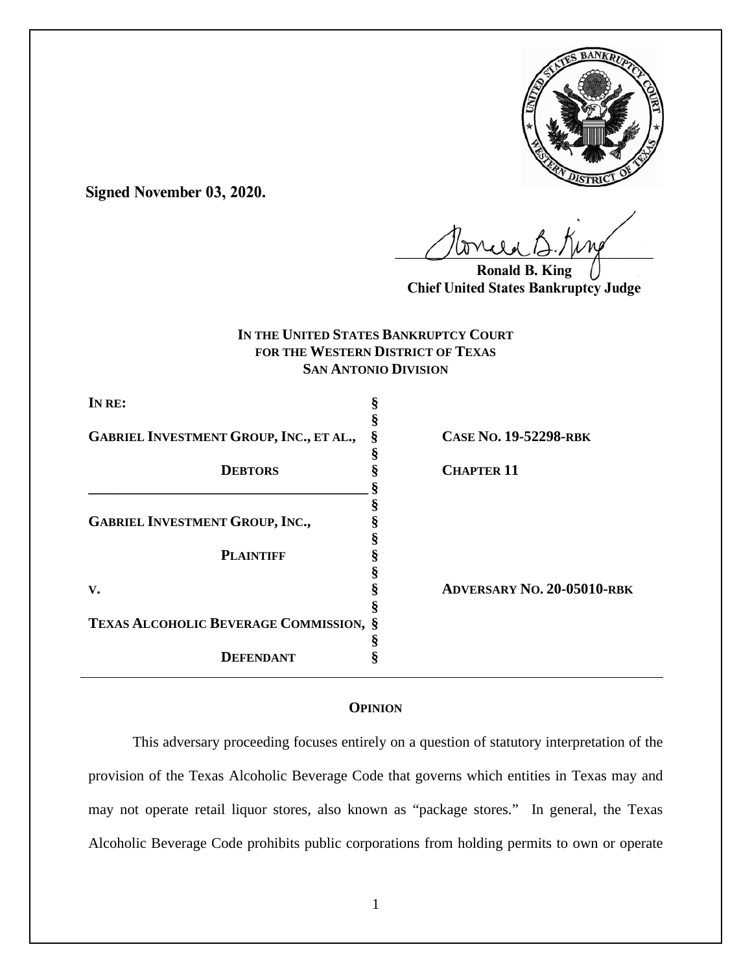

**Signed November 03, 2020.**

 $U^{WVWW}$ 

**Ronald B. King Chief United States Bankruptcy Judge**

# **IN THE UNITED STATES BANKRUPTCY COURT FOR THE WESTERN DISTRICT OF TEXAS SAN ANTONIO DIVISION**

| IN RE:                                        |                                   |
|-----------------------------------------------|-----------------------------------|
|                                               |                                   |
| GABRIEL INVESTMENT GROUP, INC., ET AL.,       | CASE NO. 19-52298-RBK             |
|                                               |                                   |
| <b>DEBTORS</b>                                | <b>CHAPTER 11</b>                 |
|                                               |                                   |
|                                               |                                   |
| <b>GABRIEL INVESTMENT GROUP, INC.,</b>        |                                   |
|                                               |                                   |
| <b>PLAINTIFF</b>                              |                                   |
|                                               |                                   |
| V.                                            | <b>ADVERSARY NO. 20-05010-RBK</b> |
|                                               |                                   |
| <b>TEXAS ALCOHOLIC BEVERAGE COMMISSION, §</b> |                                   |
|                                               |                                   |
| DEFENDANT                                     |                                   |

# **OPINION**

This adversary proceeding focuses entirely on a question of statutory interpretation of the provision of the Texas Alcoholic Beverage Code that governs which entities in Texas may and may not operate retail liquor stores, also known as "package stores." In general, the Texas Alcoholic Beverage Code prohibits public corporations from holding permits to own or operate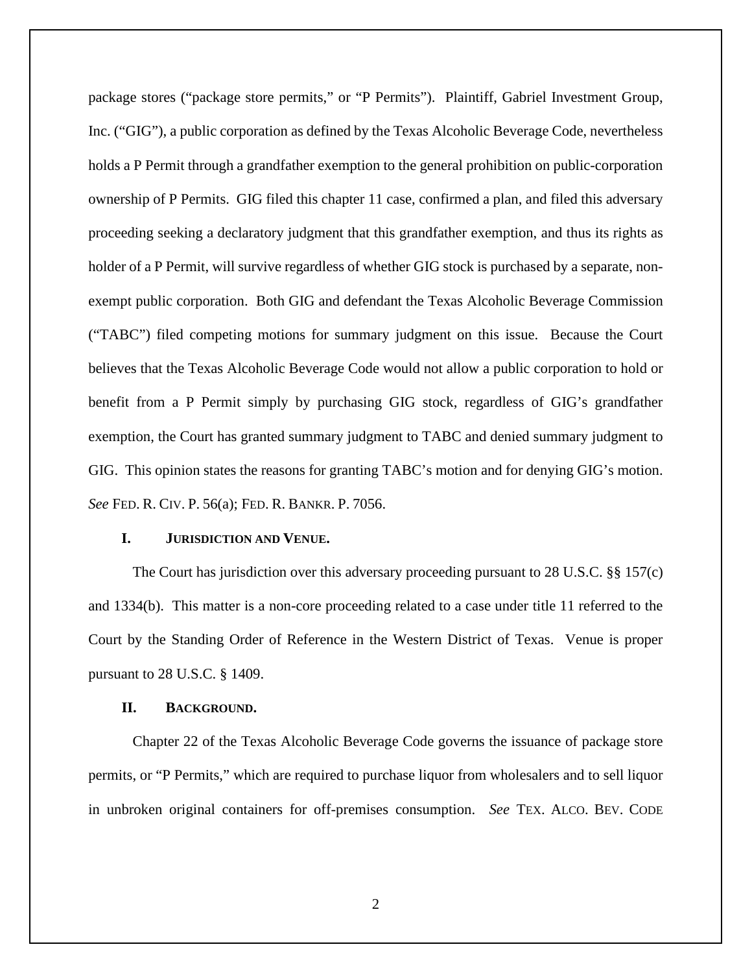package stores ("package store permits," or "P Permits"). Plaintiff, Gabriel Investment Group, Inc. ("GIG"), a public corporation as defined by the Texas Alcoholic Beverage Code, nevertheless holds a P Permit through a grandfather exemption to the general prohibition on public-corporation ownership of P Permits. GIG filed this chapter 11 case, confirmed a plan, and filed this adversary proceeding seeking a declaratory judgment that this grandfather exemption, and thus its rights as holder of a P Permit, will survive regardless of whether GIG stock is purchased by a separate, nonexempt public corporation. Both GIG and defendant the Texas Alcoholic Beverage Commission ("TABC") filed competing motions for summary judgment on this issue. Because the Court believes that the Texas Alcoholic Beverage Code would not allow a public corporation to hold or benefit from a P Permit simply by purchasing GIG stock, regardless of GIG's grandfather exemption, the Court has granted summary judgment to TABC and denied summary judgment to GIG. This opinion states the reasons for granting TABC's motion and for denying GIG's motion. *See* FED. R. CIV. P. 56(a); FED. R. BANKR. P. 7056.

## **I. JURISDICTION AND VENUE.**

The Court has jurisdiction over this adversary proceeding pursuant to 28 U.S.C. §§ 157(c) and 1334(b). This matter is a non-core proceeding related to a case under title 11 referred to the Court by the Standing Order of Reference in the Western District of Texas. Venue is proper pursuant to 28 U.S.C. § 1409.

## **II. BACKGROUND.**

Chapter 22 of the Texas Alcoholic Beverage Code governs the issuance of package store permits, or "P Permits," which are required to purchase liquor from wholesalers and to sell liquor in unbroken original containers for off-premises consumption. *See* TEX. ALCO. BEV. CODE

2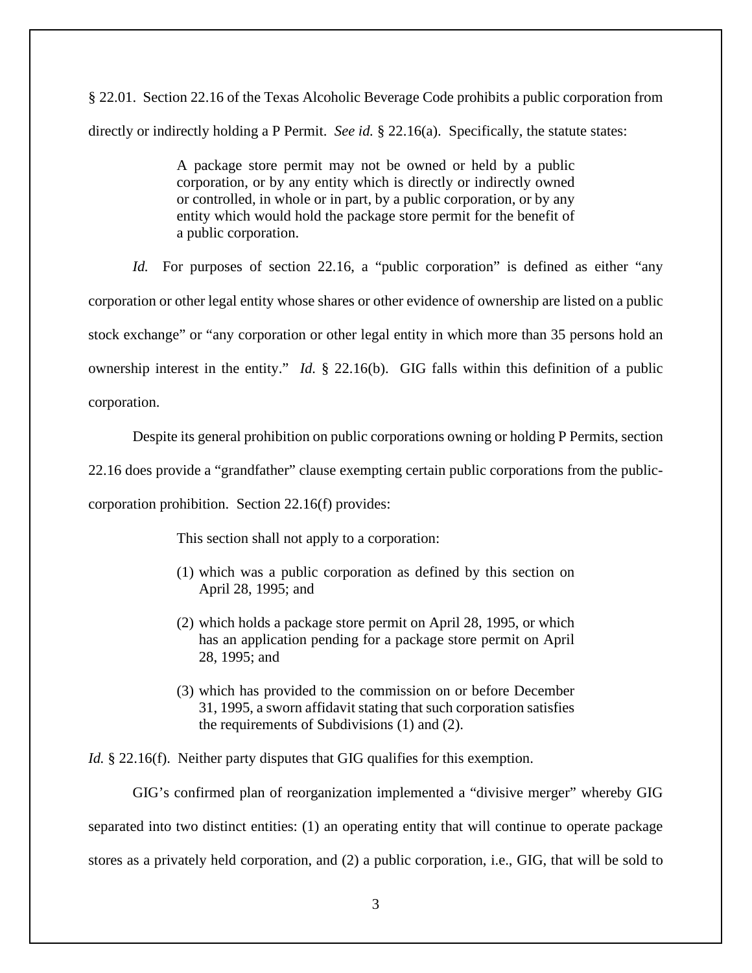§ 22.01. Section 22.16 of the Texas Alcoholic Beverage Code prohibits a public corporation from directly or indirectly holding a P Permit. *See id.* § 22.16(a). Specifically, the statute states:

> A package store permit may not be owned or held by a public corporation, or by any entity which is directly or indirectly owned or controlled, in whole or in part, by a public corporation, or by any entity which would hold the package store permit for the benefit of a public corporation.

*Id.* For purposes of section 22.16, a "public corporation" is defined as either "any corporation or other legal entity whose shares or other evidence of ownership are listed on a public stock exchange" or "any corporation or other legal entity in which more than 35 persons hold an ownership interest in the entity." *Id.* § 22.16(b). GIG falls within this definition of a public corporation.

Despite its general prohibition on public corporations owning or holding P Permits, section

22.16 does provide a "grandfather" clause exempting certain public corporations from the public-

corporation prohibition. Section 22.16(f) provides:

This section shall not apply to a corporation:

- (1) which was a public corporation as defined by this section on April 28, 1995; and
- (2) which holds a package store permit on April 28, 1995, or which has an application pending for a package store permit on April 28, 1995; and
- (3) which has provided to the commission on or before December 31, 1995, a sworn affidavit stating that such corporation satisfies the requirements of Subdivisions (1) and (2).

*Id.* § 22.16(f). Neither party disputes that GIG qualifies for this exemption.

GIG's confirmed plan of reorganization implemented a "divisive merger" whereby GIG separated into two distinct entities: (1) an operating entity that will continue to operate package stores as a privately held corporation, and (2) a public corporation, i.e., GIG, that will be sold to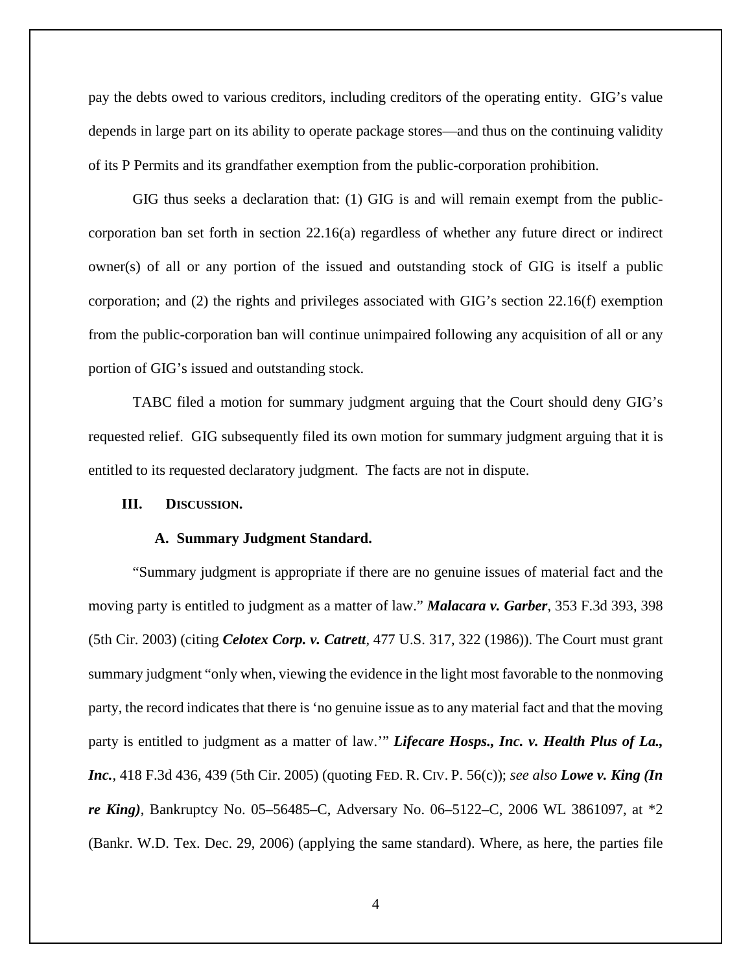pay the debts owed to various creditors, including creditors of the operating entity. GIG's value depends in large part on its ability to operate package stores—and thus on the continuing validity of its P Permits and its grandfather exemption from the public-corporation prohibition.

GIG thus seeks a declaration that: (1) GIG is and will remain exempt from the publiccorporation ban set forth in section 22.16(a) regardless of whether any future direct or indirect owner(s) of all or any portion of the issued and outstanding stock of GIG is itself a public corporation; and (2) the rights and privileges associated with GIG's section 22.16(f) exemption from the public-corporation ban will continue unimpaired following any acquisition of all or any portion of GIG's issued and outstanding stock.

TABC filed a motion for summary judgment arguing that the Court should deny GIG's requested relief. GIG subsequently filed its own motion for summary judgment arguing that it is entitled to its requested declaratory judgment. The facts are not in dispute.

## **III. DISCUSSION.**

#### **A. Summary Judgment Standard.**

"Summary judgment is appropriate if there are no genuine issues of material fact and the moving party is entitled to judgment as a matter of law." *Malacara v. Garber*, 353 F.3d 393, 398 (5th Cir. 2003) (citing *Celotex Corp. v. Catrett*, 477 U.S. 317, 322 (1986)). The Court must grant summary judgment "only when, viewing the evidence in the light most favorable to the nonmoving party, the record indicates that there is 'no genuine issue as to any material fact and that the moving party is entitled to judgment as a matter of law."" *Lifecare Hosps., Inc. v. Health Plus of La.*, *Inc.*, 418 F.3d 436, 439 (5th Cir. 2005) (quoting FED. R. CIV. P. 56(c)); *see also Lowe v. King (In re King)*, Bankruptcy No. 05–56485–C, Adversary No. 06–5122–C, 2006 WL 3861097, at \*2 (Bankr. W.D. Tex. Dec. 29, 2006) (applying the same standard). Where, as here, the parties file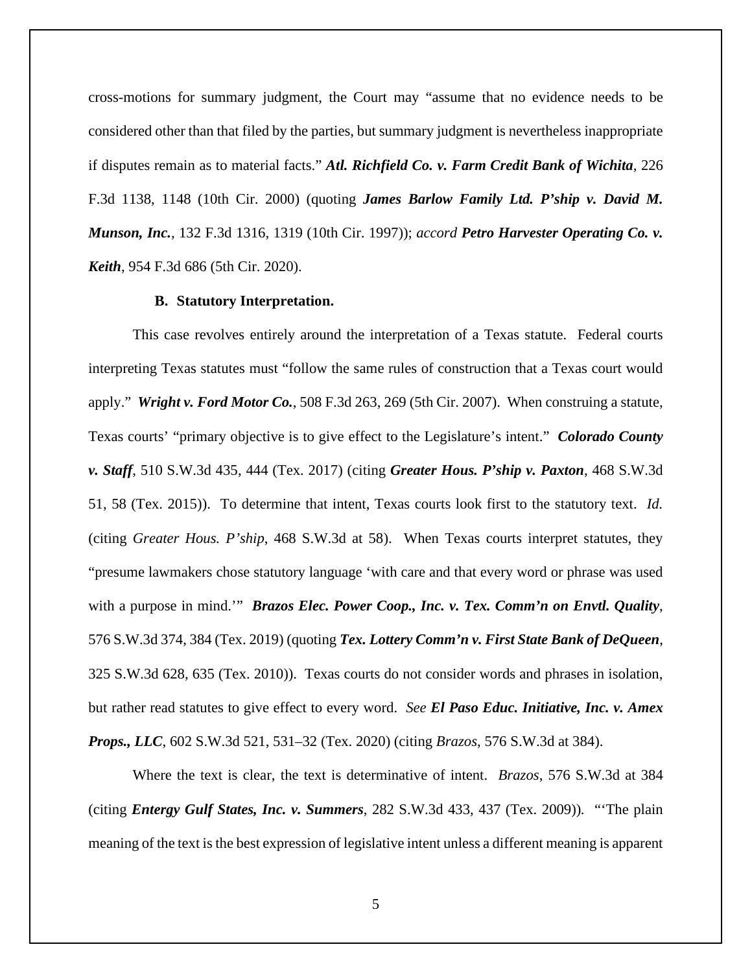cross-motions for summary judgment, the Court may "assume that no evidence needs to be considered other than that filed by the parties, but summary judgment is nevertheless inappropriate if disputes remain as to material facts." *Atl. Richfield Co. v. Farm Credit Bank of Wichita*, 226 F.3d 1138, 1148 (10th Cir. 2000) (quoting *James Barlow Family Ltd. P'ship v. David M. Munson, Inc.*, 132 F.3d 1316, 1319 (10th Cir. 1997)); *accord Petro Harvester Operating Co. v. Keith*, 954 F.3d 686 (5th Cir. 2020).

## **B. Statutory Interpretation.**

This case revolves entirely around the interpretation of a Texas statute. Federal courts interpreting Texas statutes must "follow the same rules of construction that a Texas court would apply." *Wright v. Ford Motor Co.*, 508 F.3d 263, 269 (5th Cir. 2007). When construing a statute, Texas courts' "primary objective is to give effect to the Legislature's intent." *Colorado County v. Staff*, 510 S.W.3d 435, 444 (Tex. 2017) (citing *Greater Hous. P'ship v. Paxton*, 468 S.W.3d 51, 58 (Tex. 2015)). To determine that intent, Texas courts look first to the statutory text. *Id.* (citing *Greater Hous. P'ship*, 468 S.W.3d at 58). When Texas courts interpret statutes, they "presume lawmakers chose statutory language 'with care and that every word or phrase was used with a purpose in mind." *Brazos Elec. Power Coop., Inc. v. Tex. Comm'n on Envtl. Quality*, 576 S.W.3d 374, 384 (Tex. 2019) (quoting *Tex. Lottery Comm'n v. First State Bank of DeQueen*, 325 S.W.3d 628, 635 (Tex. 2010)). Texas courts do not consider words and phrases in isolation, but rather read statutes to give effect to every word. *See El Paso Educ. Initiative, Inc. v. Amex Props., LLC*, 602 S.W.3d 521, 531–32 (Tex. 2020) (citing *Brazos*, 576 S.W.3d at 384).

Where the text is clear, the text is determinative of intent. *Brazos*, 576 S.W.3d at 384 (citing *Entergy Gulf States, Inc. v. Summers*, 282 S.W.3d 433, 437 (Tex. 2009))*.* "'The plain meaning of the text is the best expression of legislative intent unless a different meaning is apparent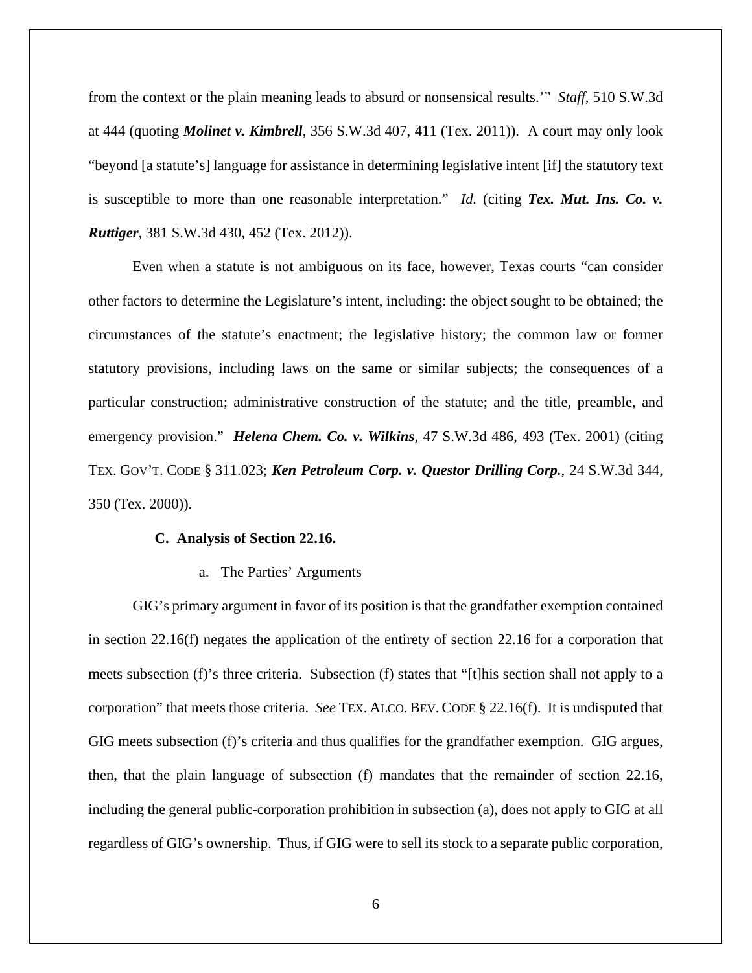from the context or the plain meaning leads to absurd or nonsensical results.'" *Staff*, 510 S.W.3d at 444 (quoting *Molinet v. Kimbrell*, 356 S.W.3d 407, 411 (Tex. 2011)). A court may only look "beyond [a statute's] language for assistance in determining legislative intent [if] the statutory text is susceptible to more than one reasonable interpretation." *Id.* (citing *Tex. Mut. Ins. Co. v. Ruttiger*, 381 S.W.3d 430, 452 (Tex. 2012)).

Even when a statute is not ambiguous on its face, however, Texas courts "can consider other factors to determine the Legislature's intent, including: the object sought to be obtained; the circumstances of the statute's enactment; the legislative history; the common law or former statutory provisions, including laws on the same or similar subjects; the consequences of a particular construction; administrative construction of the statute; and the title, preamble, and emergency provision." *Helena Chem. Co. v. Wilkins*, 47 S.W.3d 486, 493 (Tex. 2001) (citing TEX. GOV'T. CODE § 311.023; *Ken Petroleum Corp. v. Questor Drilling Corp.*, 24 S.W.3d 344, 350 (Tex. 2000)).

#### **C. Analysis of Section 22.16.**

## a. The Parties' Arguments

GIG's primary argument in favor of its position is that the grandfather exemption contained in section 22.16(f) negates the application of the entirety of section 22.16 for a corporation that meets subsection (f)'s three criteria. Subsection (f) states that "[t]his section shall not apply to a corporation" that meets those criteria. *See* TEX. ALCO. BEV. CODE § 22.16(f). It is undisputed that GIG meets subsection (f)'s criteria and thus qualifies for the grandfather exemption. GIG argues, then, that the plain language of subsection (f) mandates that the remainder of section 22.16, including the general public-corporation prohibition in subsection (a), does not apply to GIG at all regardless of GIG's ownership. Thus, if GIG were to sell its stock to a separate public corporation,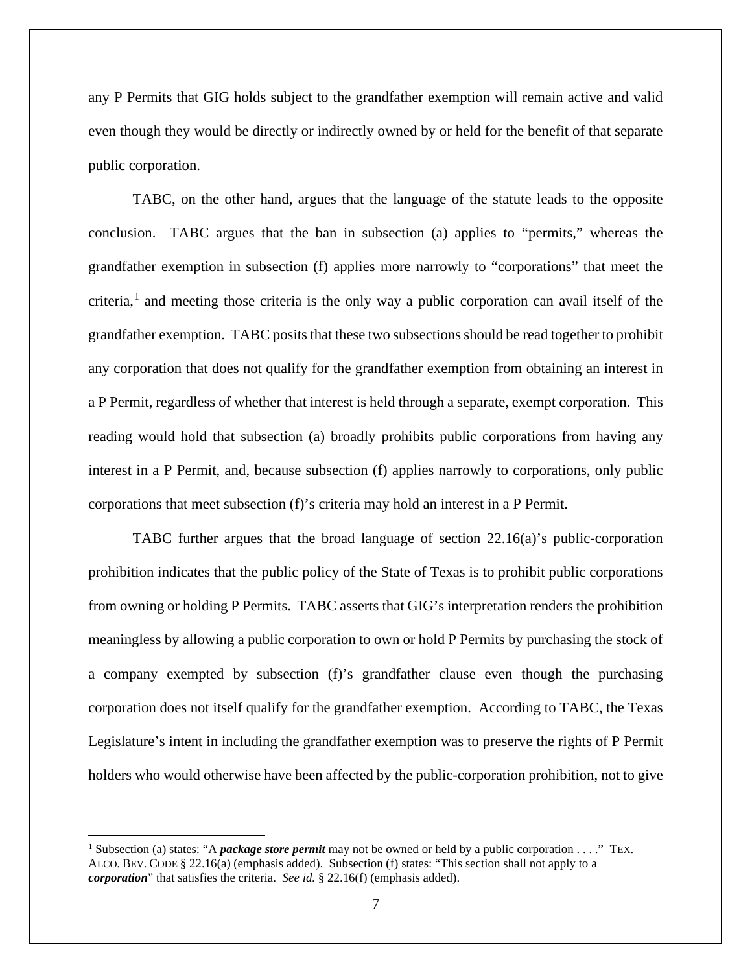any P Permits that GIG holds subject to the grandfather exemption will remain active and valid even though they would be directly or indirectly owned by or held for the benefit of that separate public corporation.

TABC, on the other hand, argues that the language of the statute leads to the opposite conclusion. TABC argues that the ban in subsection (a) applies to "permits," whereas the grandfather exemption in subsection (f) applies more narrowly to "corporations" that meet the criteria, [1](#page-6-0) and meeting those criteria is the only way a public corporation can avail itself of the grandfather exemption. TABC posits that these two subsections should be read together to prohibit any corporation that does not qualify for the grandfather exemption from obtaining an interest in a P Permit, regardless of whether that interest is held through a separate, exempt corporation. This reading would hold that subsection (a) broadly prohibits public corporations from having any interest in a P Permit, and, because subsection (f) applies narrowly to corporations, only public corporations that meet subsection (f)'s criteria may hold an interest in a P Permit.

TABC further argues that the broad language of section 22.16(a)'s public-corporation prohibition indicates that the public policy of the State of Texas is to prohibit public corporations from owning or holding P Permits. TABC asserts that GIG's interpretation renders the prohibition meaningless by allowing a public corporation to own or hold P Permits by purchasing the stock of a company exempted by subsection (f)'s grandfather clause even though the purchasing corporation does not itself qualify for the grandfather exemption. According to TABC, the Texas Legislature's intent in including the grandfather exemption was to preserve the rights of P Permit holders who would otherwise have been affected by the public-corporation prohibition, not to give

<span id="page-6-0"></span><sup>1</sup> Subsection (a) states: "A *package store permit* may not be owned or held by a public corporation . . . ." TEX. ALCO. BEV. CODE § 22.16(a) (emphasis added). Subsection (f) states: "This section shall not apply to a *corporation*" that satisfies the criteria. *See id.* § 22.16(f) (emphasis added).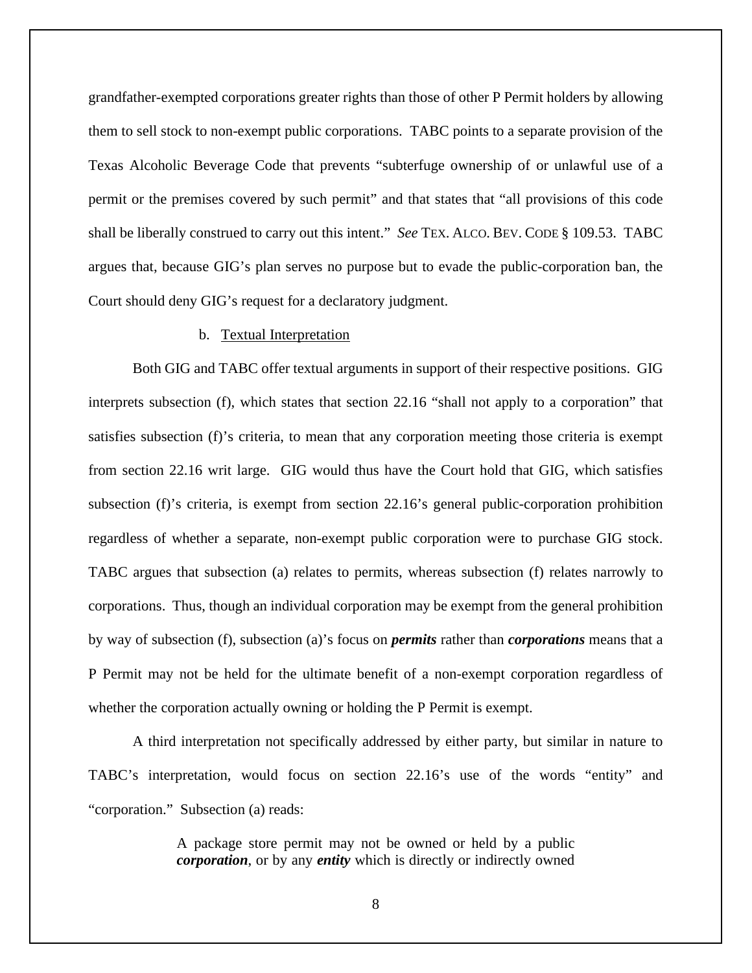grandfather-exempted corporations greater rights than those of other P Permit holders by allowing them to sell stock to non-exempt public corporations. TABC points to a separate provision of the Texas Alcoholic Beverage Code that prevents "subterfuge ownership of or unlawful use of a permit or the premises covered by such permit" and that states that "all provisions of this code shall be liberally construed to carry out this intent." *See* TEX. ALCO. BEV. CODE § 109.53. TABC argues that, because GIG's plan serves no purpose but to evade the public-corporation ban, the Court should deny GIG's request for a declaratory judgment.

#### b. Textual Interpretation

Both GIG and TABC offer textual arguments in support of their respective positions. GIG interprets subsection (f), which states that section 22.16 "shall not apply to a corporation" that satisfies subsection (f)'s criteria, to mean that any corporation meeting those criteria is exempt from section 22.16 writ large. GIG would thus have the Court hold that GIG, which satisfies subsection (f)'s criteria, is exempt from section 22.16's general public-corporation prohibition regardless of whether a separate, non-exempt public corporation were to purchase GIG stock. TABC argues that subsection (a) relates to permits, whereas subsection (f) relates narrowly to corporations. Thus, though an individual corporation may be exempt from the general prohibition by way of subsection (f), subsection (a)'s focus on *permits* rather than *corporations* means that a P Permit may not be held for the ultimate benefit of a non-exempt corporation regardless of whether the corporation actually owning or holding the P Permit is exempt.

A third interpretation not specifically addressed by either party, but similar in nature to TABC's interpretation, would focus on section 22.16's use of the words "entity" and "corporation." Subsection (a) reads:

> A package store permit may not be owned or held by a public *corporation*, or by any *entity* which is directly or indirectly owned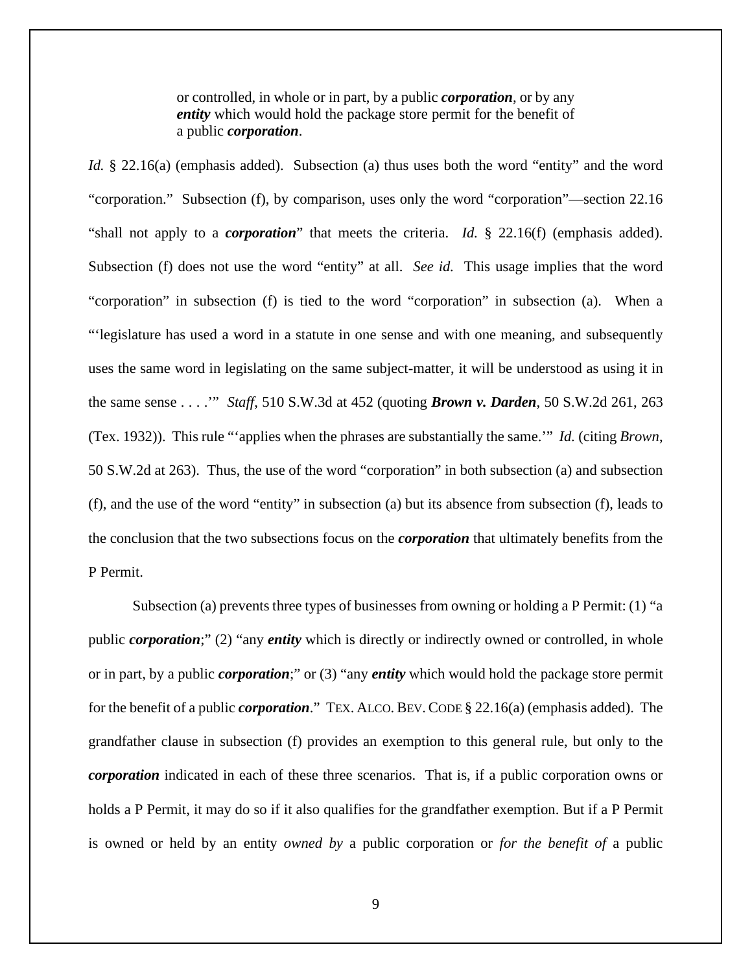or controlled, in whole or in part, by a public *corporation*, or by any *entity* which would hold the package store permit for the benefit of a public *corporation*.

*Id.* § 22.16(a) (emphasis added). Subsection (a) thus uses both the word "entity" and the word "corporation." Subsection (f), by comparison, uses only the word "corporation"—section 22.16 "shall not apply to a *corporation*" that meets the criteria. *Id.* § 22.16(f) (emphasis added). Subsection (f) does not use the word "entity" at all. *See id.* This usage implies that the word "corporation" in subsection (f) is tied to the word "corporation" in subsection (a). When a "'legislature has used a word in a statute in one sense and with one meaning, and subsequently uses the same word in legislating on the same subject-matter, it will be understood as using it in the same sense . . . .'" *Staff*, 510 S.W.3d at 452 (quoting *Brown v. Darden*, 50 S.W.2d 261, 263 (Tex. 1932)). This rule "'applies when the phrases are substantially the same.'" *Id.* (citing *Brown*, 50 S.W.2d at 263). Thus, the use of the word "corporation" in both subsection (a) and subsection (f), and the use of the word "entity" in subsection (a) but its absence from subsection (f), leads to the conclusion that the two subsections focus on the *corporation* that ultimately benefits from the P Permit.

Subsection (a) prevents three types of businesses from owning or holding a P Permit: (1) "a public *corporation*;" (2) "any *entity* which is directly or indirectly owned or controlled, in whole or in part, by a public *corporation*;" or (3) "any *entity* which would hold the package store permit for the benefit of a public *corporation*." TEX. ALCO. BEV. CODE § 22.16(a) (emphasis added). The grandfather clause in subsection (f) provides an exemption to this general rule, but only to the *corporation* indicated in each of these three scenarios. That is, if a public corporation owns or holds a P Permit, it may do so if it also qualifies for the grandfather exemption. But if a P Permit is owned or held by an entity *owned by* a public corporation or *for the benefit of* a public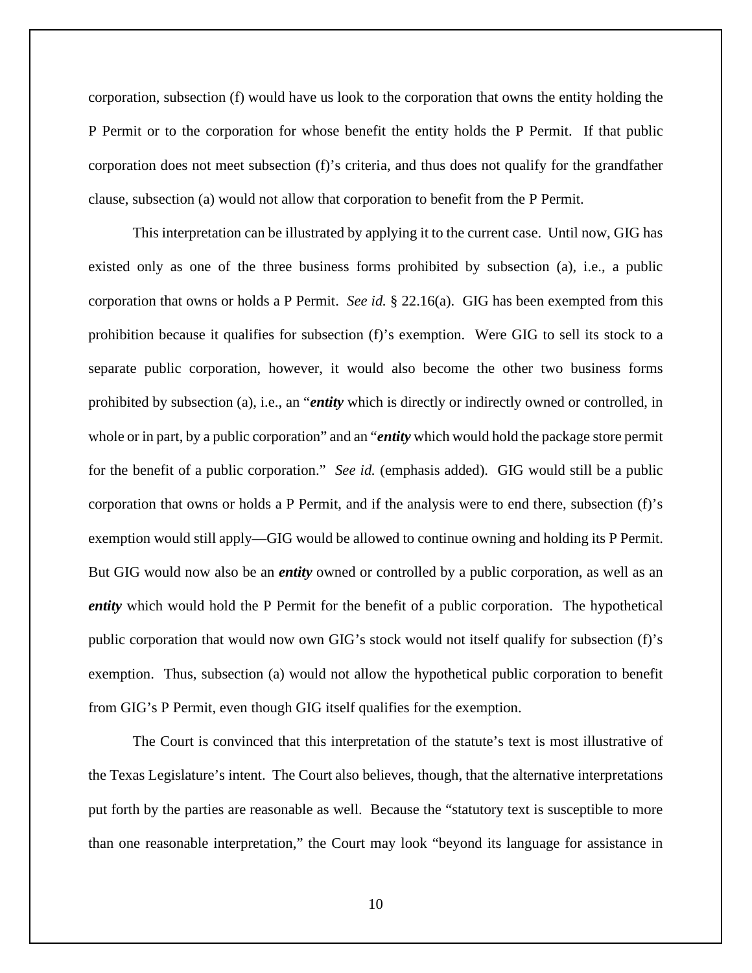corporation, subsection (f) would have us look to the corporation that owns the entity holding the P Permit or to the corporation for whose benefit the entity holds the P Permit. If that public corporation does not meet subsection (f)'s criteria, and thus does not qualify for the grandfather clause, subsection (a) would not allow that corporation to benefit from the P Permit.

This interpretation can be illustrated by applying it to the current case. Until now, GIG has existed only as one of the three business forms prohibited by subsection (a), i.e., a public corporation that owns or holds a P Permit. *See id.* § 22.16(a). GIG has been exempted from this prohibition because it qualifies for subsection (f)'s exemption. Were GIG to sell its stock to a separate public corporation, however, it would also become the other two business forms prohibited by subsection (a), i.e., an "*entity* which is directly or indirectly owned or controlled, in whole or in part, by a public corporation" and an "*entity* which would hold the package store permit for the benefit of a public corporation." *See id.* (emphasis added). GIG would still be a public corporation that owns or holds a P Permit, and if the analysis were to end there, subsection (f)'s exemption would still apply—GIG would be allowed to continue owning and holding its P Permit. But GIG would now also be an *entity* owned or controlled by a public corporation, as well as an *entity* which would hold the P Permit for the benefit of a public corporation. The hypothetical public corporation that would now own GIG's stock would not itself qualify for subsection (f)'s exemption. Thus, subsection (a) would not allow the hypothetical public corporation to benefit from GIG's P Permit, even though GIG itself qualifies for the exemption.

The Court is convinced that this interpretation of the statute's text is most illustrative of the Texas Legislature's intent. The Court also believes, though, that the alternative interpretations put forth by the parties are reasonable as well. Because the "statutory text is susceptible to more than one reasonable interpretation," the Court may look "beyond its language for assistance in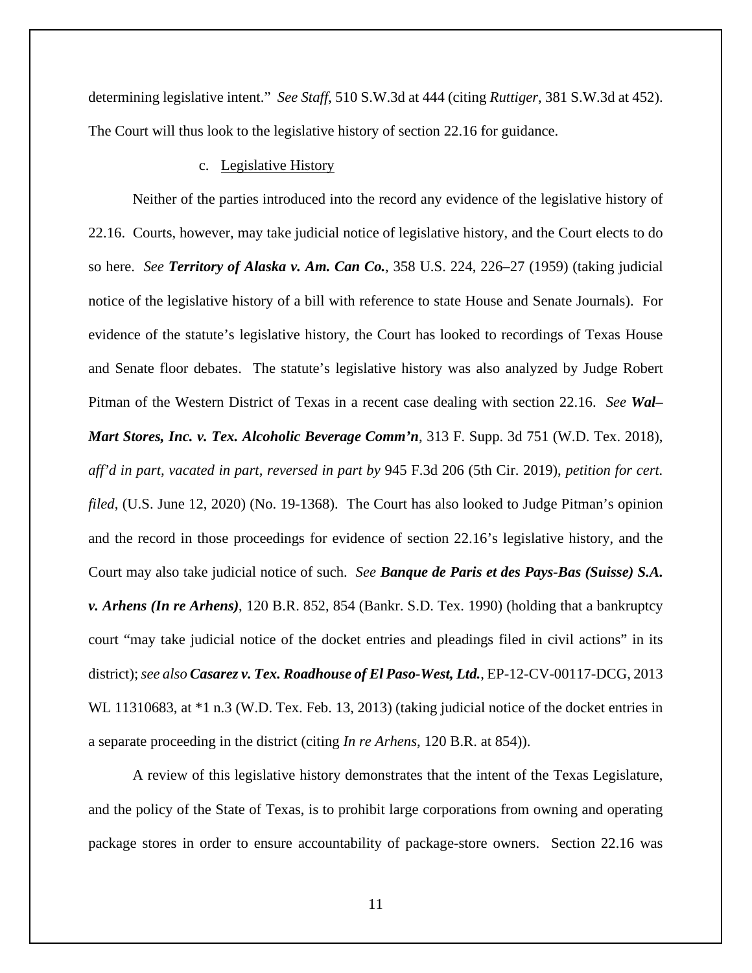determining legislative intent." *See Staff*, 510 S.W.3d at 444 (citing *Ruttiger*, 381 S.W.3d at 452). The Court will thus look to the legislative history of section 22.16 for guidance.

## c. Legislative History

Neither of the parties introduced into the record any evidence of the legislative history of 22.16. Courts, however, may take judicial notice of legislative history, and the Court elects to do so here. *See Territory of Alaska v. Am. Can Co.*, 358 U.S. 224, 226–27 (1959) (taking judicial notice of the legislative history of a bill with reference to state House and Senate Journals). For evidence of the statute's legislative history, the Court has looked to recordings of Texas House and Senate floor debates. The statute's legislative history was also analyzed by Judge Robert Pitman of the Western District of Texas in a recent case dealing with section 22.16. *See Wal– Mart Stores, Inc. v. Tex. Alcoholic Beverage Comm'n*, 313 F. Supp. 3d 751 (W.D. Tex. 2018), *aff'd in part, vacated in part, reversed in part by* 945 F.3d 206 (5th Cir. 2019), *petition for cert. filed*, (U.S. June 12, 2020) (No. 19-1368). The Court has also looked to Judge Pitman's opinion and the record in those proceedings for evidence of section 22.16's legislative history, and the Court may also take judicial notice of such. *See Banque de Paris et des Pays-Bas (Suisse) S.A. v. Arhens (In re Arhens)*, 120 B.R. 852, 854 (Bankr. S.D. Tex. 1990) (holding that a bankruptcy court "may take judicial notice of the docket entries and pleadings filed in civil actions" in its district); *see also Casarez v. Tex. Roadhouse of El Paso-West, Ltd.*, EP-12-CV-00117-DCG, 2013 WL 11310683, at  $*1$  n.3 (W.D. Tex. Feb. 13, 2013) (taking judicial notice of the docket entries in a separate proceeding in the district (citing *In re Arhens*, 120 B.R. at 854)).

A review of this legislative history demonstrates that the intent of the Texas Legislature, and the policy of the State of Texas, is to prohibit large corporations from owning and operating package stores in order to ensure accountability of package-store owners. Section 22.16 was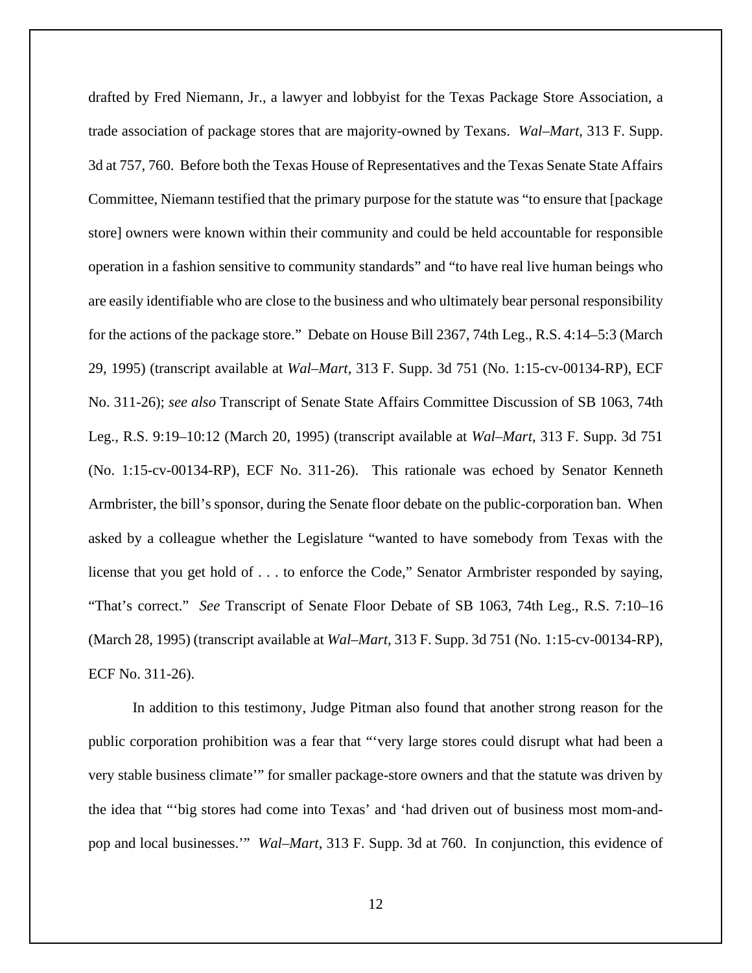drafted by Fred Niemann, Jr., a lawyer and lobbyist for the Texas Package Store Association, a trade association of package stores that are majority-owned by Texans. *Wal–Mart*, 313 F. Supp. 3d at 757, 760. Before both the Texas House of Representatives and the Texas Senate State Affairs Committee, Niemann testified that the primary purpose for the statute was "to ensure that [package store] owners were known within their community and could be held accountable for responsible operation in a fashion sensitive to community standards" and "to have real live human beings who are easily identifiable who are close to the business and who ultimately bear personal responsibility for the actions of the package store." Debate on House Bill 2367, 74th Leg., R.S. 4:14–5:3 (March 29, 1995) (transcript available at *Wal–Mart*, 313 F. Supp. 3d 751 (No. 1:15-cv-00134-RP), ECF No. 311-26); *see also* Transcript of Senate State Affairs Committee Discussion of SB 1063, 74th Leg., R.S. 9:19–10:12 (March 20, 1995) (transcript available at *Wal–Mart*, 313 F. Supp. 3d 751 (No. 1:15-cv-00134-RP), ECF No. 311-26). This rationale was echoed by Senator Kenneth Armbrister, the bill's sponsor, during the Senate floor debate on the public-corporation ban. When asked by a colleague whether the Legislature "wanted to have somebody from Texas with the license that you get hold of . . . to enforce the Code," Senator Armbrister responded by saying, "That's correct." *See* Transcript of Senate Floor Debate of SB 1063, 74th Leg., R.S. 7:10–16 (March 28, 1995) (transcript available at *Wal–Mart*, 313 F. Supp. 3d 751 (No. 1:15-cv-00134-RP), ECF No. 311-26).

In addition to this testimony, Judge Pitman also found that another strong reason for the public corporation prohibition was a fear that "'very large stores could disrupt what had been a very stable business climate'" for smaller package-store owners and that the statute was driven by the idea that "'big stores had come into Texas' and 'had driven out of business most mom-andpop and local businesses.'" *Wal–Mart*, 313 F. Supp. 3d at 760. In conjunction, this evidence of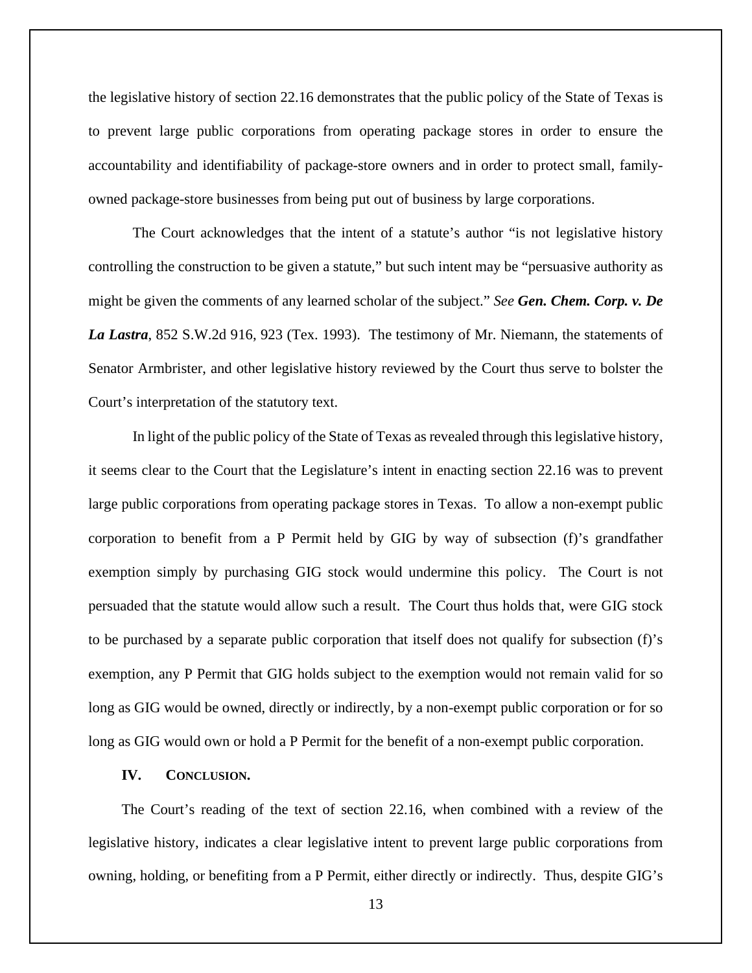the legislative history of section 22.16 demonstrates that the public policy of the State of Texas is to prevent large public corporations from operating package stores in order to ensure the accountability and identifiability of package-store owners and in order to protect small, familyowned package-store businesses from being put out of business by large corporations.

The Court acknowledges that the intent of a statute's author "is not legislative history controlling the construction to be given a statute," but such intent may be "persuasive authority as might be given the comments of any learned scholar of the subject." *See Gen. Chem. Corp. v. De La Lastra*, 852 S.W.2d 916, 923 (Tex. 1993). The testimony of Mr. Niemann, the statements of Senator Armbrister, and other legislative history reviewed by the Court thus serve to bolster the Court's interpretation of the statutory text.

In light of the public policy of the State of Texas as revealed through this legislative history, it seems clear to the Court that the Legislature's intent in enacting section 22.16 was to prevent large public corporations from operating package stores in Texas. To allow a non-exempt public corporation to benefit from a P Permit held by GIG by way of subsection (f)'s grandfather exemption simply by purchasing GIG stock would undermine this policy. The Court is not persuaded that the statute would allow such a result. The Court thus holds that, were GIG stock to be purchased by a separate public corporation that itself does not qualify for subsection (f)'s exemption, any P Permit that GIG holds subject to the exemption would not remain valid for so long as GIG would be owned, directly or indirectly, by a non-exempt public corporation or for so long as GIG would own or hold a P Permit for the benefit of a non-exempt public corporation.

#### **IV. CONCLUSION.**

The Court's reading of the text of section 22.16, when combined with a review of the legislative history, indicates a clear legislative intent to prevent large public corporations from owning, holding, or benefiting from a P Permit, either directly or indirectly. Thus, despite GIG's